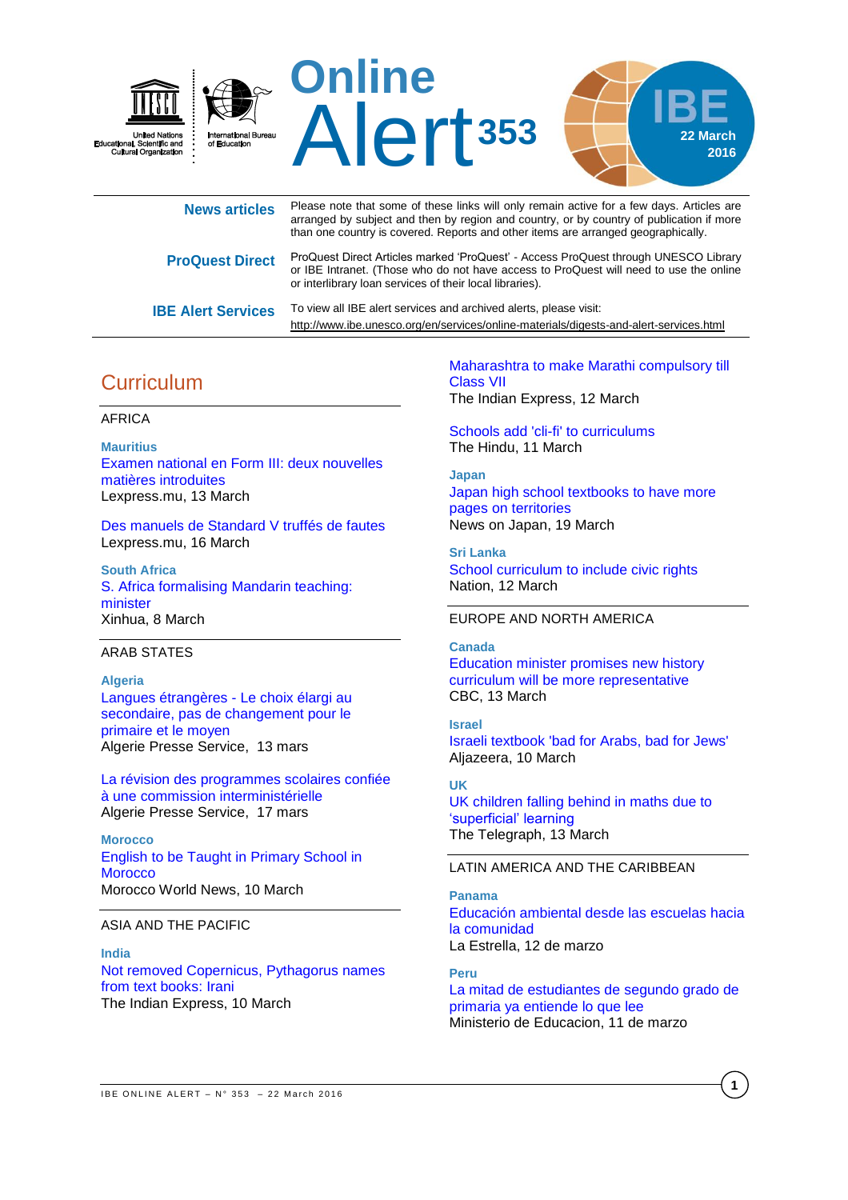

| <b>News articles</b>      | Please note that some of these links will only remain active for a few days. Articles are<br>arranged by subject and then by region and country, or by country of publication if more<br>than one country is covered. Reports and other items are arranged geographically. |
|---------------------------|----------------------------------------------------------------------------------------------------------------------------------------------------------------------------------------------------------------------------------------------------------------------------|
| <b>ProQuest Direct</b>    | ProQuest Direct Articles marked 'ProQuest' - Access ProQuest through UNESCO Library<br>or IBE Intranet. (Those who do not have access to ProQuest will need to use the online<br>or interlibrary loan services of their local libraries).                                  |
| <b>IBE Alert Services</b> | To view all IBE alert services and archived alerts, please visit:<br>http://www.ibe.unesco.org/en/services/online-materials/digests-and-alert-services.html                                                                                                                |

# **Curriculum**

### AFRICA

**Mauritius** [Examen national en Form III: deux nouvelles](http://www.lexpress.mu/article/277733/examen-national-en-form-iii-deux-nouvelles-matieres-introduites)  [matières introduites](http://www.lexpress.mu/article/277733/examen-national-en-form-iii-deux-nouvelles-matieres-introduites) Lexpress.mu, 13 March

[Des manuels de Standard V truffés de fautes](http://www.lexpress.mu/article/277894/manuels-standard-v-truffes-fautes) Lexpress.mu, 16 March

**South Africa** [S. Africa formalising Mandarin teaching:](http://news.xinhuanet.com/english/2016-03/08/c_135164732.htm)  [minister](http://news.xinhuanet.com/english/2016-03/08/c_135164732.htm) Xinhua, 8 March

### ARAB STATES

### **Algeria**

[Langues étrangères -](http://fr.allafrica.com/stories/201603140755.html) Le choix élargi au [secondaire, pas de changement pour le](http://fr.allafrica.com/stories/201603140755.html)  [primaire et le moyen](http://fr.allafrica.com/stories/201603140755.html) Algerie Presse Service, 13 mars

[La révision des programmes scolaires confiée](http://fr.allafrica.com/stories/201603180310.html)  [à une commission interministérielle](http://fr.allafrica.com/stories/201603180310.html) Algerie Presse Service, 17 mars

**Morocco** [English to be Taught in Primary School in](http://www.moroccoworldnews.com/2016/03/181772/english-to-be-taught-in-primary-school-in-morocco/)  **[Morocco](http://www.moroccoworldnews.com/2016/03/181772/english-to-be-taught-in-primary-school-in-morocco/)** Morocco World News, 10 March

### ASIA AND THE PACIFIC

**India** [Not removed Copernicus, Pythagorus names](http://indianexpress.com/article/education/not-removed-copernicus-pythagorus-names-from-text-books-irani/)  [from text books:](http://indianexpress.com/article/education/not-removed-copernicus-pythagorus-names-from-text-books-irani/) Irani The Indian Express, 10 March

[Maharashtra to make Marathi compulsory till](http://indianexpress.com/article/education/marathi-compulsory-in-igcseib-schools-shivaji-history-to-be-taught/)  [Class](http://indianexpress.com/article/education/marathi-compulsory-in-igcseib-schools-shivaji-history-to-be-taught/) VII The Indian Express, 12 March

[Schools add 'cli-fi' to curriculums](http://www.thehindu.com/todays-paper/tp-in-school/schools-add-clifi-to-curriculums/article8337942.ece) The Hindu, 11 March

#### **Japan**

[Japan high school textbooks to have more](http://newsonjapan.com/html/newsdesk/article/115688.php)  [pages on territories](http://newsonjapan.com/html/newsdesk/article/115688.php) News on Japan, 19 March

**Sri Lanka** [School curriculum to include civic rights](http://nation.lk/online/2016/03/12/school-curriculum-to-include-civic-rights.html) Nation, 12 March

### EUROPE AND NORTH AMERICA

**Canada** [Education minister promises new](http://www.cbc.ca/news/canada/montreal/s%C3%A9bastien-proulx-new-history-curriculum-representative-1.3487853) history [curriculum will be more representative](http://www.cbc.ca/news/canada/montreal/s%C3%A9bastien-proulx-new-history-curriculum-representative-1.3487853) CBC, 13 March

**Israel** [Israeli textbook 'bad for Arabs, bad for Jews'](http://www.aljazeera.com/news/2016/03/israeli-textbook-bad-arabs-bad-jews-160308091457575.html) Aljazeera, 10 March

**UK** [UK children falling behind in maths due to](http://www.telegraph.co.uk/news/uknews/12192892/UK-children-falling-behind-in-maths-due-to-superficial-learning.html)  ['superficial' learning](http://www.telegraph.co.uk/news/uknews/12192892/UK-children-falling-behind-in-maths-due-to-superficial-learning.html) The Telegraph, 13 March

### LATIN AMERICA AND THE CARIBBEAN

**Panama** [Educación ambiental desde las escuelas hacia](http://laestrella.com.pa/vida-de-hoy/planeta/educacion-ambiental-desde-escuelas-hacia-comunidad/23927389)  [la comunidad](http://laestrella.com.pa/vida-de-hoy/planeta/educacion-ambiental-desde-escuelas-hacia-comunidad/23927389) La Estrella, 12 de marzo

**Peru** [La mitad de estudiantes de segundo grado de](http://www.minedu.gob.pe/n/noticia.php?id=37154)  [primaria ya entiende lo que lee](http://www.minedu.gob.pe/n/noticia.php?id=37154) Ministerio de Educacion, 11 de marzo

**1**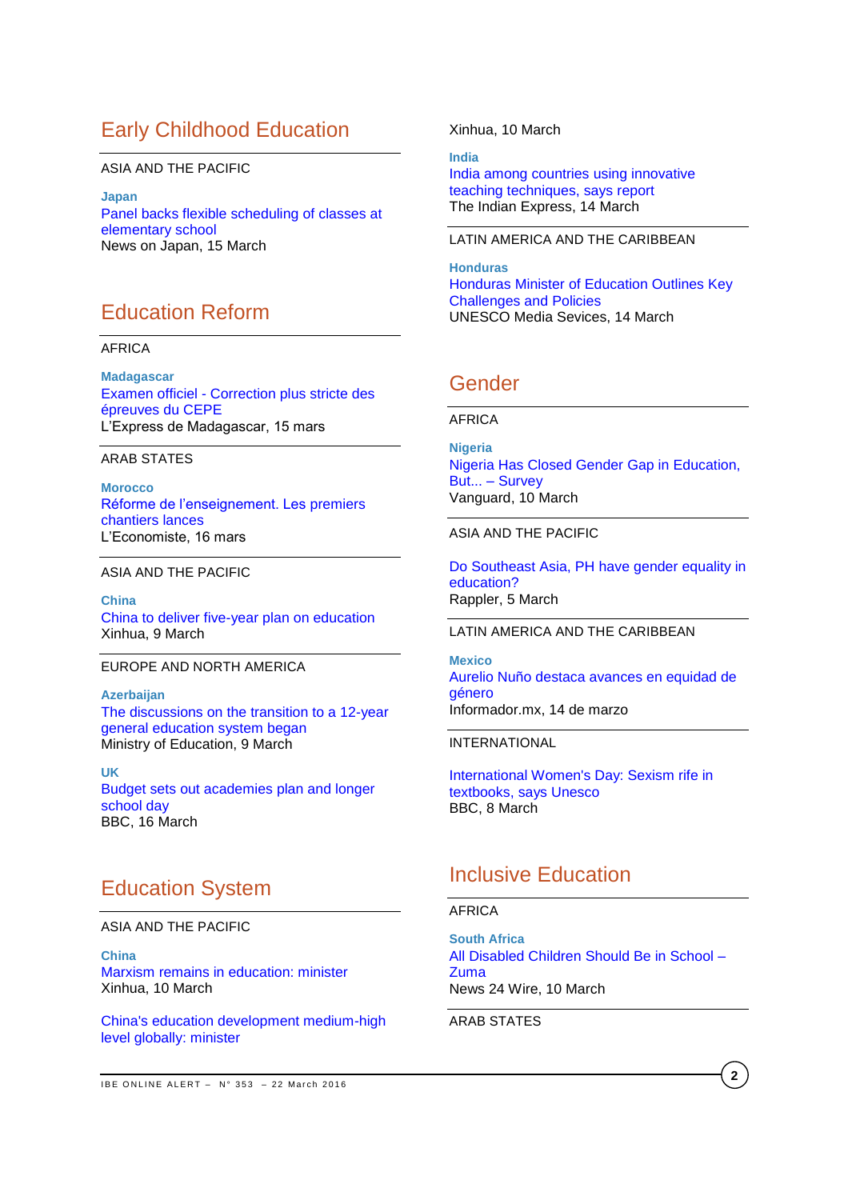# Early Childhood Education

### ASIA AND THE PACIFIC

**Japan** [Panel backs flexible scheduling of classes at](http://newsonjapan.com/html/newsdesk/article/115642.php)  [elementary school](http://newsonjapan.com/html/newsdesk/article/115642.php) News on Japan, 15 March

# Education Reform

### AFRICA

**Madagascar** Examen officiel - [Correction plus stricte des](http://fr.allafrica.com/stories/201603150885.html)  [épreuves du CEPE](http://fr.allafrica.com/stories/201603150885.html) L'Express de Madagascar, 15 mars

### ARAB STATES

**Morocco** [Réforme de l'enseignement. Les premiers](http://www.leconomiste.com/article/995179-r%C3%A9forme-de-l%E2%80%99enseignement)  [chantiers lances](http://www.leconomiste.com/article/995179-r%C3%A9forme-de-l%E2%80%99enseignement) L'Economiste, 16 mars

### ASIA AND THE PACIFIC

**China** [China to deliver five-year plan on education](http://news.xinhuanet.com/english/2016-03/09/c_135172029.htm) Xinhua, 9 March

### EUROPE AND NORTH AMERICA

**Azerbaijan** [The discussions on the transition to a 12-year](http://edu.gov.az/en/page/9/12195)  [general education system began](http://edu.gov.az/en/page/9/12195) Ministry of Education, 9 March

**UK**  [Budget sets out academies plan and longer](Budget%20sets%20out%20academies%20plan%20and%20longer%20school%20day)  [school day](Budget%20sets%20out%20academies%20plan%20and%20longer%20school%20day) BBC, 16 March

## Education System

### ASIA AND THE PACIFIC

**China** [Marxism remains in education: minister](http://news.xinhuanet.com/english/2016-03/10/c_135176375.htm) Xinhua, 10 March

[China's education development medium-high](http://news.xinhuanet.com/english/2016-03/10/c_135176342.htm)  [level globally: minister](http://news.xinhuanet.com/english/2016-03/10/c_135176342.htm)

Xinhua, 10 March

**India**  [India among countries using innovative](http://indianexpress.com/article/education/india-among-countries-using-innovative-teaching-techniques-says-survey/)  [teaching techniques, says](http://indianexpress.com/article/education/india-among-countries-using-innovative-teaching-techniques-says-survey/) report The Indian Express, 14 March

### LATIN AMERICA AND THE CARIBBEAN

**Honduras** [Honduras Minister of Education Outlines Key](http://www.unesco.org/new/en/media-services/single-view/news/honduras_minister_of_education_outlines_key_challenges_and_policies/#.VufpTvnhCUk)  [Challenges and Policies](http://www.unesco.org/new/en/media-services/single-view/news/honduras_minister_of_education_outlines_key_challenges_and_policies/#.VufpTvnhCUk) UNESCO Media Sevices, 14 March

## Gender

### AFRICA

**Nigeria**  [Nigeria Has Closed Gender Gap in Education,](http://allafrica.com/stories/201603101116.html)  [But... –](http://allafrica.com/stories/201603101116.html) Survey Vanguard, 10 March

### ASIA AND THE PACIFIC

[Do Southeast Asia, PH have gender equality in](http://www.rappler.com/move-ph/124515-philippines-southeast-asia-gender-gap-education-unesco-atlas)  [education?](http://www.rappler.com/move-ph/124515-philippines-southeast-asia-gender-gap-education-unesco-atlas) Rappler, 5 March

### LATIN AMERICA AND THE CARIBBEAN

**Mexico** [Aurelio Nuño destaca avances en equidad de](http://www.informador.com.mx/mexico/2016/650331/6/aurelio-nuno-destaca-avances-en-equidad-y-genero.htm)  [género](http://www.informador.com.mx/mexico/2016/650331/6/aurelio-nuno-destaca-avances-en-equidad-y-genero.htm) Informador.mx, 14 de marzo

INTERNATIONAL

[International Women's Day: Sexism rife in](http://www.bbc.com/news/education-35745327)  [textbooks, says Unesco](http://www.bbc.com/news/education-35745327) BBC, 8 March

## Inclusive Education

### AFRICA

**South Africa** [All Disabled Children Should Be in School –](http://allafrica.com/stories/201603101330.html) [Zuma](http://allafrica.com/stories/201603101330.html) News 24 Wire, 10 March

### ARAB STATES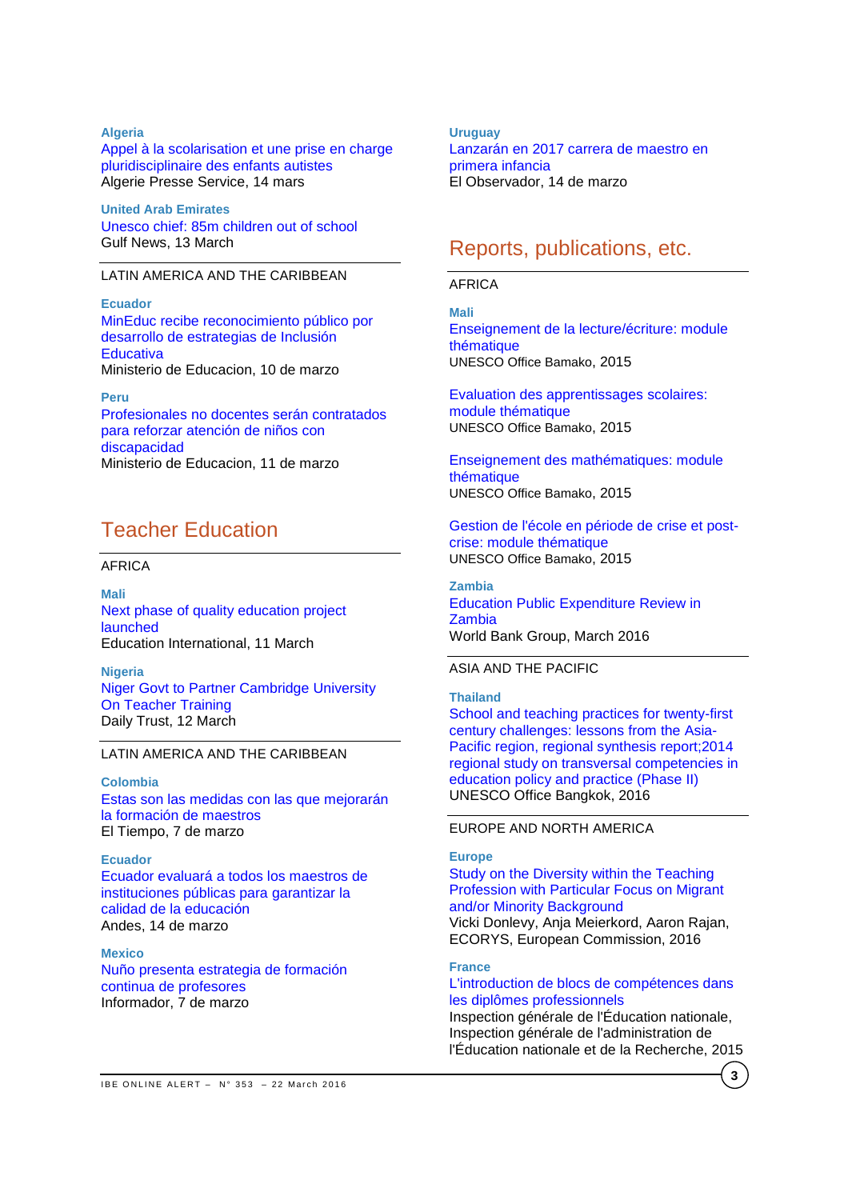### **Algeria**

[Appel à la scolarisation et une prise en charge](http://fr.allafrica.com/stories/201603142596.html)  [pluridisciplinaire des enfants autistes](http://fr.allafrica.com/stories/201603142596.html) Algerie Presse Service, 14 mars

**United Arab Emirates** [Unesco chief: 85m children out of school](http://gulfnews.com/news/uae/education/unesco-chief-85m-children-out-of-school-1.1689566) Gulf News, 13 March

### LATIN AMERICA AND THE CARIBBEAN

**Ecuador** [MinEduc recibe reconocimiento público por](http://educacion.gob.ec/mineduc-recibe-reconocimiento-publico-por-desarrollo-de-estrategias-de-inclusion-educativa/)  [desarrollo de estrategias de Inclusión](http://educacion.gob.ec/mineduc-recibe-reconocimiento-publico-por-desarrollo-de-estrategias-de-inclusion-educativa/)  **[Educativa](http://educacion.gob.ec/mineduc-recibe-reconocimiento-publico-por-desarrollo-de-estrategias-de-inclusion-educativa/)** Ministerio de Educacion, 10 de marzo

**Peru**

Profesionales [no docentes serán contratados](http://www.minedu.gob.pe/n/noticia.php?id=37112)  [para reforzar atención de niños con](http://www.minedu.gob.pe/n/noticia.php?id=37112)  [discapacidad](http://www.minedu.gob.pe/n/noticia.php?id=37112) Ministerio de Educacion, 11 de marzo

## Teacher Education

### AFRICA

**Mali** [Next phase of quality education project](http://www.ei-ie.org/en/news/news_details/3899)  [launched](http://www.ei-ie.org/en/news/news_details/3899) Education International, 11 March

**Nigeria**  [Niger Govt to Partner Cambridge University](http://allafrica.com/stories/201603140221.html)  [On Teacher Training](http://allafrica.com/stories/201603140221.html) Daily Trust, 12 March

### LATIN AMERICA AND THE CARIBBEAN

**Colombia** [Estas son las medidas con las que mejorarán](http://www.eltiempo.com/estilo-de-vida/educacion/medidas-para-maestros-del-pais/16530168)  [la formación de maestros](http://www.eltiempo.com/estilo-de-vida/educacion/medidas-para-maestros-del-pais/16530168) El Tiempo, 7 de marzo

**Ecuador** [Ecuador evaluará a todos los maestros de](http://www.andes.info.ec/es/noticias/ecuador-evaluara-todos-maestros-instituciones-publicas-garantizar-calidad-educacion.html)  [instituciones públicas para garantizar la](http://www.andes.info.ec/es/noticias/ecuador-evaluara-todos-maestros-instituciones-publicas-garantizar-calidad-educacion.html)  [calidad de la educación](http://www.andes.info.ec/es/noticias/ecuador-evaluara-todos-maestros-instituciones-publicas-garantizar-calidad-educacion.html) Andes, 14 de marzo

**Mexico** [Nuño presenta estrategia de formación](http://www.informador.com.mx/mexico/2016/649025/6/nuno-presenta-estrategia-de-formacion-continua-de-profesores.htm)  [continua de profesores](http://www.informador.com.mx/mexico/2016/649025/6/nuno-presenta-estrategia-de-formacion-continua-de-profesores.htm) Informador, 7 de marzo

**Uruguay** [Lanzarán en 2017 carrera de maestro en](http://www.elobservador.com.uy/lanzaran-2017-carrera-maestro-primera-infancia-n881385)  [primera infancia](http://www.elobservador.com.uy/lanzaran-2017-carrera-maestro-primera-infancia-n881385) El Observador, 14 de marzo

# Reports, publications, etc.

### AFRICA

**Mali** [Enseignement de la lecture/écriture: module](http://unesdoc.unesco.org/images/0024/002439/243972f.pdf)  [thématique](http://unesdoc.unesco.org/images/0024/002439/243972f.pdf) UNESCO Office Bamako, 2015

[Evaluation des apprentissages](http://unesdoc.unesco.org/images/0024/002439/243971f.pdf) scolaires: [module thématique](http://unesdoc.unesco.org/images/0024/002439/243971f.pdf) UNESCO Office Bamako, 2015

[Enseignement des mathématiques: module](http://unesdoc.unesco.org/images/0024/002439/243970f.pdf)  [thématique](http://unesdoc.unesco.org/images/0024/002439/243970f.pdf) UNESCO Office Bamako, 2015

[Gestion de l'école en période de crise et post](http://unesdoc.unesco.org/images/0024/002439/243968f.pdf)[crise: module thématique](http://unesdoc.unesco.org/images/0024/002439/243968f.pdf) UNESCO Office Bamako, 2015

**Zambia** [Education Public Expenditure Review in](https://openknowledge.worldbank.org/bitstream/handle/10986/23883/K8640.pdf?sequence=2&isAllowed=y)  [Zambia](https://openknowledge.worldbank.org/bitstream/handle/10986/23883/K8640.pdf?sequence=2&isAllowed=y) World Bank Group, March 2016

### ASIA AND THE PACIFIC

**Thailand** [School and teaching practices for twenty-first](http://unesdoc.unesco.org/images/0024/002440/244022e.pdf)  [century challenges: lessons from the Asia-](http://unesdoc.unesco.org/images/0024/002440/244022e.pdf)[Pacific region, regional synthesis report;2014](http://unesdoc.unesco.org/images/0024/002440/244022e.pdf)  [regional study on transversal competencies in](http://unesdoc.unesco.org/images/0024/002440/244022e.pdf)  [education policy and practice \(Phase II\)](http://unesdoc.unesco.org/images/0024/002440/244022e.pdf) UNESCO Office Bangkok, 2016

### EUROPE AND NORTH AMERICA

### **Europe**

[Study on the Diversity within the Teaching](http://ec.europa.eu/education/library/study/2016/teacher-diversity_en.pdf)  [Profession with Particular Focus on Migrant](http://ec.europa.eu/education/library/study/2016/teacher-diversity_en.pdf)  [and/or Minority Background](http://ec.europa.eu/education/library/study/2016/teacher-diversity_en.pdf) Vicki Donlevy, Anja Meierkord, Aaron Rajan, ECORYS, European Commission, 2016

### **France**

### [L'introduction de blocs de compétences dans](http://cache.media.education.gouv.fr/file/2015/23/3/2015-078_blocs_competences_531233.pdf)  [les diplômes professionnels](http://cache.media.education.gouv.fr/file/2015/23/3/2015-078_blocs_competences_531233.pdf)

Inspection générale de l'Éducation nationale, Inspection générale de l'administration de l'Éducation nationale et de la Recherche, 2015

**3**